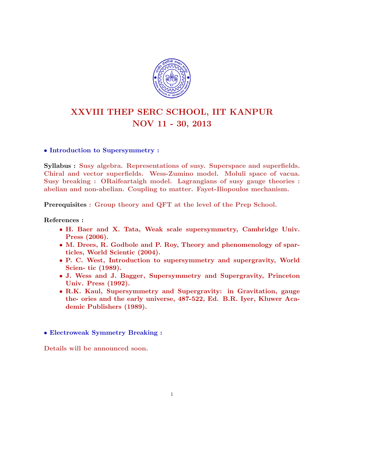

# XXVIII THEP SERC SCHOOL, IIT KANPUR NOV 11 - 30, 2013

## • Introduction to Supersymmetry :

Syllabus : Susy algebra. Representations of susy. Superspace and superfields. Chiral and vector superfields. Wess-Zumino model. Moluli space of vacua. Susy breaking : ORaifeartaigh model. Lagrangians of susy gauge theories : abelian and non-abelian. Coupling to matter. Fayet-Iliopoulos mechanism.

Prerequisites : Group theory and QFT at the level of the Prep School.

References :

- H. Baer and X. Tata, Weak scale supersymmetry, Cambridge Univ. Press (2006).
- M. Drees, R. Godbole and P. Roy, Theory and phenomenology of sparticles, World Scientic (2004).
- P. C. West, Introduction to supersymmetry and supergravity, World Scien- tic (1989).
- J. Wess and J. Bagger, Supersymmetry and Supergravity, Princeton Univ. Press (1992).
- R.K. Kaul, Supersymmetry and Supergravity: in Gravitation, gauge the- ories and the early universe, 487-522, Ed. B.R. Iyer, Kluwer Academic Publishers (1989).

1

• Electroweak Symmetry Breaking :

Details will be announced soon.